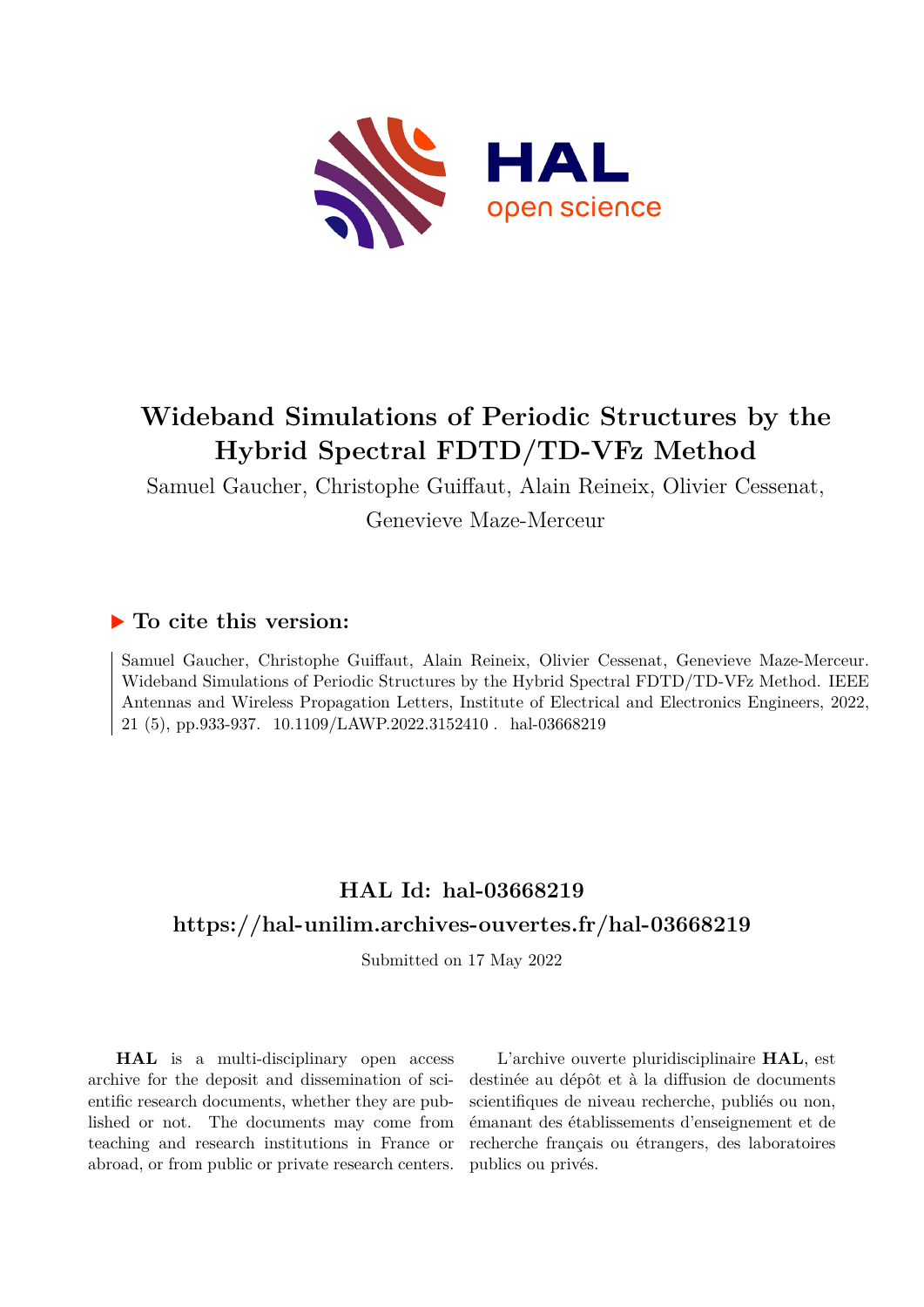

# **Wideband Simulations of Periodic Structures by the Hybrid Spectral FDTD/TD-VFz Method**

Samuel Gaucher, Christophe Guiffaut, Alain Reineix, Olivier Cessenat, Genevieve Maze-Merceur

# **To cite this version:**

Samuel Gaucher, Christophe Guiffaut, Alain Reineix, Olivier Cessenat, Genevieve Maze-Merceur. Wideband Simulations of Periodic Structures by the Hybrid Spectral FDTD/TD-VFz Method. IEEE Antennas and Wireless Propagation Letters, Institute of Electrical and Electronics Engineers, 2022, 21 (5), pp.933-937. 10.1109/LAWP.2022.3152410. hal-03668219

# **HAL Id: hal-03668219 <https://hal-unilim.archives-ouvertes.fr/hal-03668219>**

Submitted on 17 May 2022

**HAL** is a multi-disciplinary open access archive for the deposit and dissemination of scientific research documents, whether they are published or not. The documents may come from teaching and research institutions in France or abroad, or from public or private research centers.

L'archive ouverte pluridisciplinaire **HAL**, est destinée au dépôt et à la diffusion de documents scientifiques de niveau recherche, publiés ou non, émanant des établissements d'enseignement et de recherche français ou étrangers, des laboratoires publics ou privés.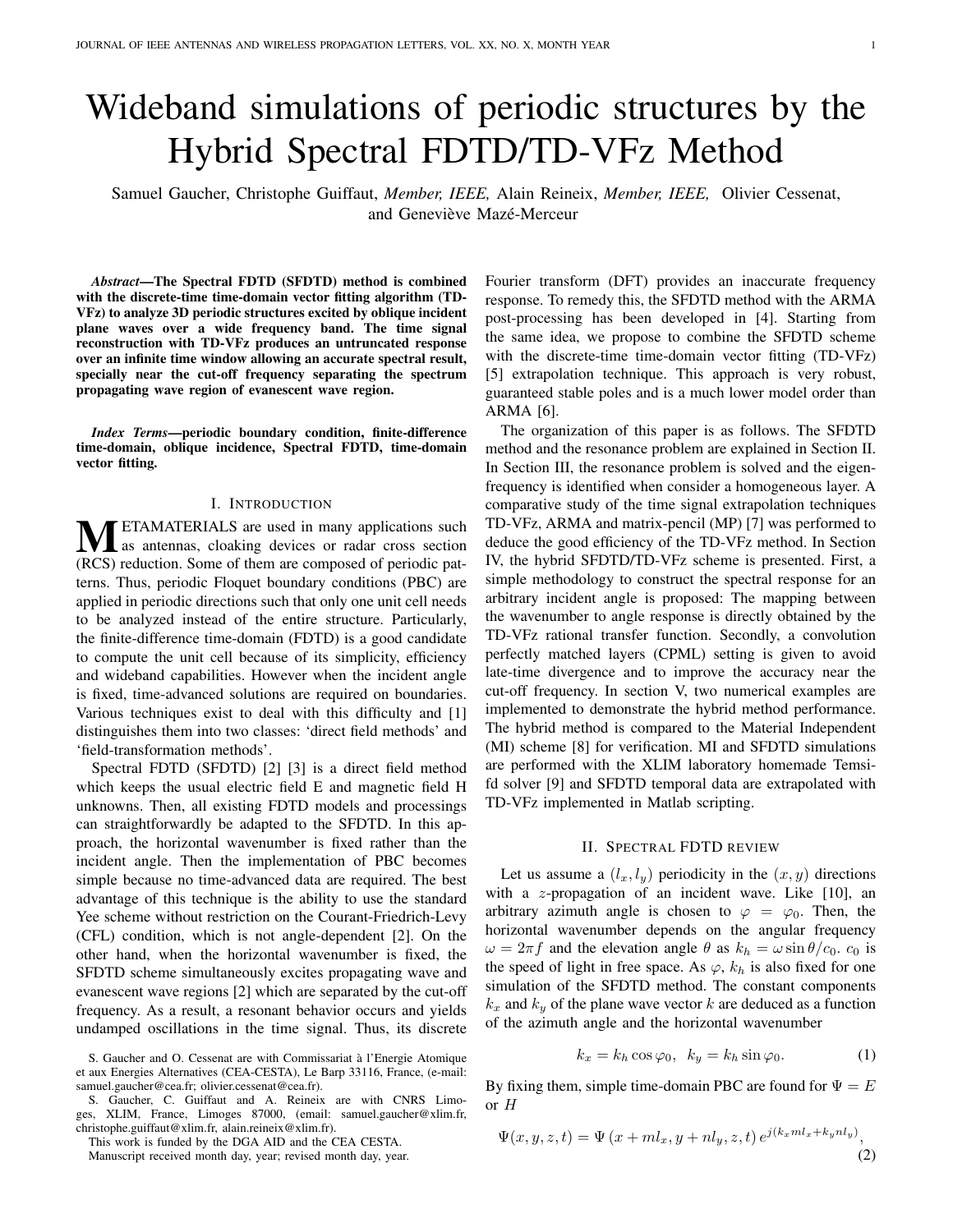# Wideband simulations of periodic structures by the Hybrid Spectral FDTD/TD-VFz Method

Samuel Gaucher, Christophe Guiffaut, *Member, IEEE,* Alain Reineix, *Member, IEEE,* Olivier Cessenat, and Geneviève Mazé-Merceur

*Abstract*—The Spectral FDTD (SFDTD) method is combined with the discrete-time time-domain vector fitting algorithm (TD-VFz) to analyze 3D periodic structures excited by oblique incident plane waves over a wide frequency band. The time signal reconstruction with TD-VFz produces an untruncated response over an infinite time window allowing an accurate spectral result, specially near the cut-off frequency separating the spectrum propagating wave region of evanescent wave region.

*Index Terms*—periodic boundary condition, finite-difference time-domain, oblique incidence, Spectral FDTD, time-domain vector fitting.

#### I. INTRODUCTION

**METAMATERIALS** are used in many applications such as antennas, cloaking devices or radar cross section (RCS) reduction. Some of them are composed of periodic patterns. Thus, periodic Floquet boundary conditions (PBC) are applied in periodic directions such that only one unit cell needs to be analyzed instead of the entire structure. Particularly, the finite-difference time-domain (FDTD) is a good candidate to compute the unit cell because of its simplicity, efficiency and wideband capabilities. However when the incident angle is fixed, time-advanced solutions are required on boundaries. Various techniques exist to deal with this difficulty and [1] distinguishes them into two classes: 'direct field methods' and 'field-transformation methods'.

Spectral FDTD (SFDTD) [2] [3] is a direct field method which keeps the usual electric field E and magnetic field H unknowns. Then, all existing FDTD models and processings can straightforwardly be adapted to the SFDTD. In this approach, the horizontal wavenumber is fixed rather than the incident angle. Then the implementation of PBC becomes simple because no time-advanced data are required. The best advantage of this technique is the ability to use the standard Yee scheme without restriction on the Courant-Friedrich-Levy (CFL) condition, which is not angle-dependent [2]. On the other hand, when the horizontal wavenumber is fixed, the SFDTD scheme simultaneously excites propagating wave and evanescent wave regions [2] which are separated by the cut-off frequency. As a result, a resonant behavior occurs and yields undamped oscillations in the time signal. Thus, its discrete

This work is funded by the DGA AID and the CEA CESTA.

Manuscript received month day, year; revised month day, year.

Fourier transform (DFT) provides an inaccurate frequency response. To remedy this, the SFDTD method with the ARMA post-processing has been developed in [4]. Starting from the same idea, we propose to combine the SFDTD scheme with the discrete-time time-domain vector fitting (TD-VFz) [5] extrapolation technique. This approach is very robust, guaranteed stable poles and is a much lower model order than ARMA [6].

The organization of this paper is as follows. The SFDTD method and the resonance problem are explained in Section II. In Section III, the resonance problem is solved and the eigenfrequency is identified when consider a homogeneous layer. A comparative study of the time signal extrapolation techniques TD-VFz, ARMA and matrix-pencil (MP) [7] was performed to deduce the good efficiency of the TD-VFz method. In Section IV, the hybrid SFDTD/TD-VFz scheme is presented. First, a simple methodology to construct the spectral response for an arbitrary incident angle is proposed: The mapping between the wavenumber to angle response is directly obtained by the TD-VFz rational transfer function. Secondly, a convolution perfectly matched layers (CPML) setting is given to avoid late-time divergence and to improve the accuracy near the cut-off frequency. In section V, two numerical examples are implemented to demonstrate the hybrid method performance. The hybrid method is compared to the Material Independent (MI) scheme [8] for verification. MI and SFDTD simulations are performed with the XLIM laboratory homemade Temsifd solver [9] and SFDTD temporal data are extrapolated with TD-VFz implemented in Matlab scripting.

## II. SPECTRAL FDTD REVIEW

Let us assume a  $(l_x, l_y)$  periodicity in the  $(x, y)$  directions with a z-propagation of an incident wave. Like [10], an arbitrary azimuth angle is chosen to  $\varphi = \varphi_0$ . Then, the horizontal wavenumber depends on the angular frequency  $\omega = 2\pi f$  and the elevation angle  $\theta$  as  $k_h = \omega \sin \theta / c_0$ .  $c_0$  is the speed of light in free space. As  $\varphi$ ,  $k_h$  is also fixed for one simulation of the SFDTD method. The constant components  $k_x$  and  $k_y$  of the plane wave vector k are deduced as a function of the azimuth angle and the horizontal wavenumber

$$
k_x = k_h \cos \varphi_0, \ \ k_y = k_h \sin \varphi_0. \tag{1}
$$

By fixing them, simple time-domain PBC are found for  $\Psi = E$  $or H$ 

$$
\Psi(x, y, z, t) = \Psi(x + ml_x, y + nl_y, z, t) e^{j(k_x ml_x + k_y nl_y)},
$$
\n(2)

S. Gaucher and O. Cessenat are with Commissariat à l'Energie Atomique et aux Energies Alternatives (CEA-CESTA), Le Barp 33116, France, (e-mail: samuel.gaucher@cea.fr; olivier.cessenat@cea.fr).

S. Gaucher, C. Guiffaut and A. Reineix are with CNRS Limoges, XLIM, France, Limoges 87000, (email: samuel.gaucher@xlim.fr, christophe.guiffaut@xlim.fr, alain.reineix@xlim.fr).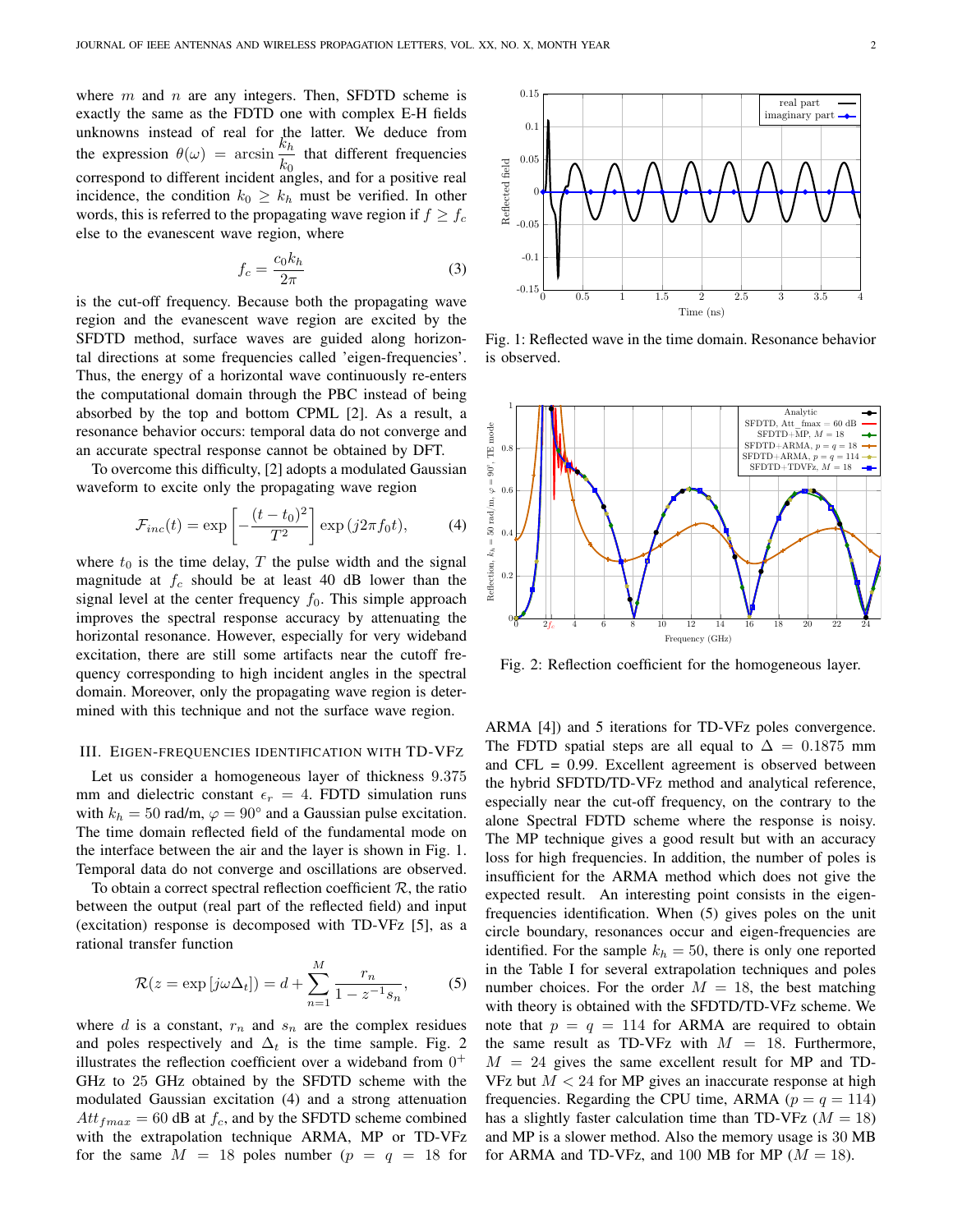where  $m$  and  $n$  are any integers. Then, SFDTD scheme is exactly the same as the FDTD one with complex E-H fields unknowns instead of real for the latter. We deduce from the expression  $\theta(\omega) = \arcsin \frac{k_h}{k_0}$  that different frequencies correspond to different incident angles, and for a positive real incidence, the condition  $k_0 \geq k_h$  must be verified. In other words, this is referred to the propagating wave region if  $f \ge f_c$ else to the evanescent wave region, where

$$
f_c = \frac{c_0 k_h}{2\pi} \tag{3}
$$

is the cut-off frequency. Because both the propagating wave region and the evanescent wave region are excited by the SFDTD method, surface waves are guided along horizontal directions at some frequencies called 'eigen-frequencies'. Thus, the energy of a horizontal wave continuously re-enters the computational domain through the PBC instead of being absorbed by the top and bottom CPML [2]. As a result, a resonance behavior occurs: temporal data do not converge and an accurate spectral response cannot be obtained by DFT.

To overcome this difficulty, [2] adopts a modulated Gaussian waveform to excite only the propagating wave region

$$
\mathcal{F}_{inc}(t) = \exp\left[-\frac{(t-t_0)^2}{T^2}\right] \exp\left(j2\pi f_0 t\right),\tag{4}
$$

where  $t_0$  is the time delay, T the pulse width and the signal magnitude at  $f_c$  should be at least 40 dB lower than the signal level at the center frequency  $f_0$ . This simple approach improves the spectral response accuracy by attenuating the horizontal resonance. However, especially for very wideband excitation, there are still some artifacts near the cutoff frequency corresponding to high incident angles in the spectral domain. Moreover, only the propagating wave region is determined with this technique and not the surface wave region.

## III. EIGEN-FREQUENCIES IDENTIFICATION WITH TD-VFZ

Let us consider a homogeneous layer of thickness 9.375 mm and dielectric constant  $\epsilon_r = 4$ . FDTD simulation runs with  $k_h = 50$  rad/m,  $\varphi = 90^\circ$  and a Gaussian pulse excitation. The time domain reflected field of the fundamental mode on the interface between the air and the layer is shown in Fig. 1. Temporal data do not converge and oscillations are observed.

To obtain a correct spectral reflection coefficient  $R$ , the ratio between the output (real part of the reflected field) and input (excitation) response is decomposed with TD-VFz [5], as a rational transfer function

$$
\mathcal{R}(z = \exp\left[j\omega\Delta_t\right]) = d + \sum_{n=1}^{M} \frac{r_n}{1 - z^{-1}s_n},\tag{5}
$$

where  $d$  is a constant,  $r_n$  and  $s_n$  are the complex residues and poles respectively and  $\Delta_t$  is the time sample. Fig. 2 illustrates the reflection coefficient over a wideband from  $0^+$ GHz to 25 GHz obtained by the SFDTD scheme with the modulated Gaussian excitation (4) and a strong attenuation  $Att_{fmax} = 60$  dB at  $f_c$ , and by the SFDTD scheme combined with the extrapolation technique ARMA, MP or TD-VFz for the same  $M = 18$  poles number  $(p = q = 18$  for



Fig. 1: Reflected wave in the time domain. Resonance behavior is observed.



Fig. 2: Reflection coefficient for the homogeneous layer.

ARMA [4]) and 5 iterations for TD-VFz poles convergence. The FDTD spatial steps are all equal to  $\Delta = 0.1875$  mm and CFL = 0.99. Excellent agreement is observed between the hybrid SFDTD/TD-VFz method and analytical reference, especially near the cut-off frequency, on the contrary to the alone Spectral FDTD scheme where the response is noisy. The MP technique gives a good result but with an accuracy loss for high frequencies. In addition, the number of poles is insufficient for the ARMA method which does not give the expected result. An interesting point consists in the eigenfrequencies identification. When (5) gives poles on the unit circle boundary, resonances occur and eigen-frequencies are identified. For the sample  $k_h = 50$ , there is only one reported in the Table I for several extrapolation techniques and poles number choices. For the order  $M = 18$ , the best matching with theory is obtained with the SFDTD/TD-VFz scheme. We note that  $p = q = 114$  for ARMA are required to obtain the same result as TD-VFz with  $M = 18$ . Furthermore,  $M = 24$  gives the same excellent result for MP and TD-VFz but  $M < 24$  for MP gives an inaccurate response at high frequencies. Regarding the CPU time, ARMA ( $p = q = 114$ ) has a slightly faster calculation time than TD-VFz ( $M = 18$ ) and MP is a slower method. Also the memory usage is 30 MB for ARMA and TD-VFz, and 100 MB for MP ( $M = 18$ ).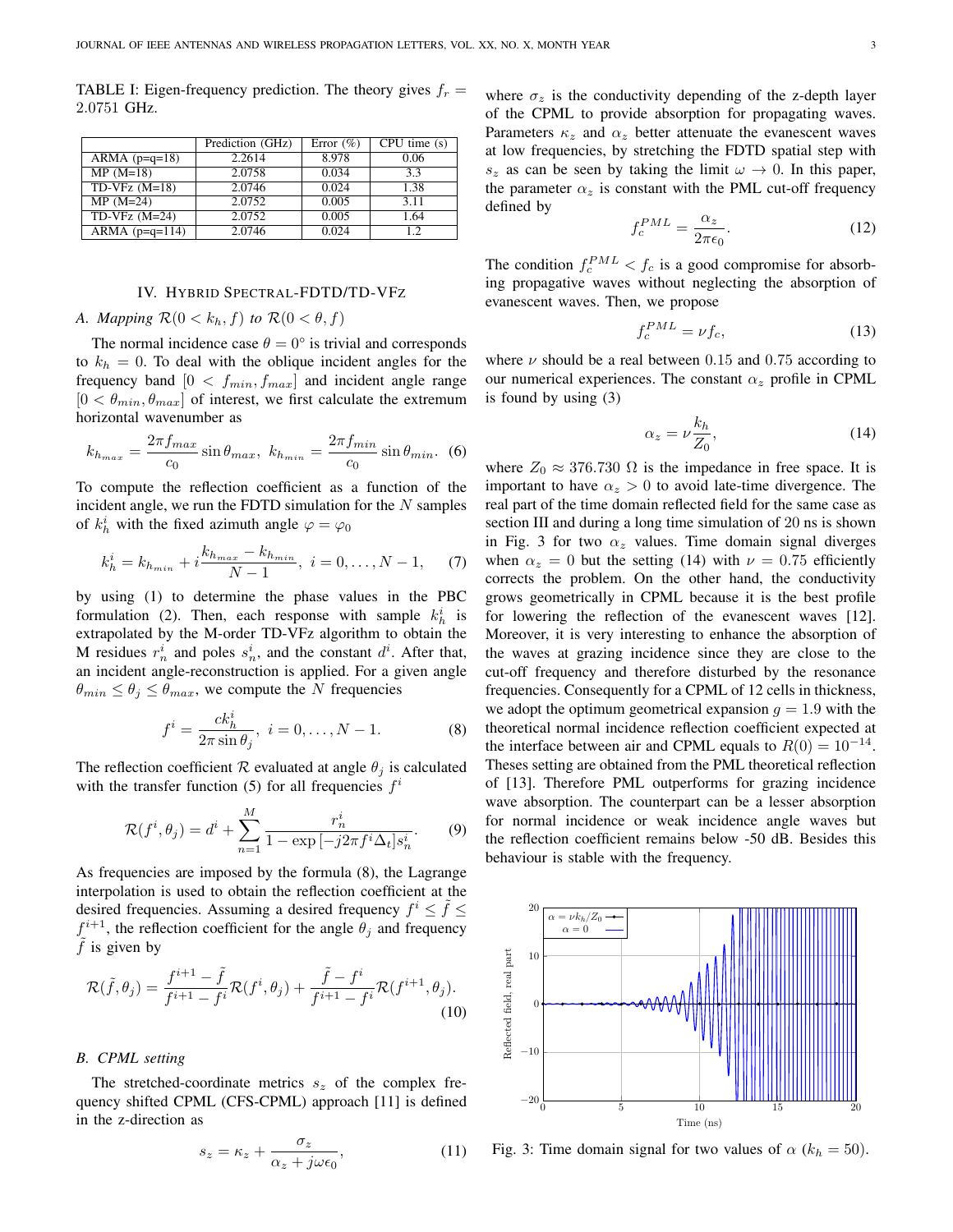TABLE I: Eigen-frequency prediction. The theory gives  $f_r =$ 2.0751 GHz.

|                  | Prediction (GHz) | Error $(\% )$ | CPU time(s) |
|------------------|------------------|---------------|-------------|
| ARMA $(p=q=18)$  | 2.2614           | 8.978         | 0.06        |
| $MP(M=18)$       | 2.0758           | 0.034         | 3.3         |
| TD-VFz $(M=18)$  | 2.0746           | 0.024         | 1.38        |
| $MP(M=24)$       | 2.0752           | 0.005         | 3.11        |
| $TD-VFz$ (M=24)  | 2.0752           | 0.005         | 1.64        |
| ARMA $(p=q=114)$ | 2.0746           | 0.024         | 12          |

# IV. HYBRID SPECTRAL-FDTD/TD-VFZ

# *A. Mapping*  $\mathcal{R}(0 \lt k_h, f)$  *to*  $\mathcal{R}(0 \lt \theta, f)$

The normal incidence case  $\theta = 0^{\circ}$  is trivial and corresponds to  $k_h = 0$ . To deal with the oblique incident angles for the frequency band  $[0 < f_{min}, f_{max}]$  and incident angle range  $[0 < \theta_{min}, \theta_{max}]$  of interest, we first calculate the extremum horizontal wavenumber as

$$
k_{h_{max}} = \frac{2\pi f_{max}}{c_0} \sin \theta_{max}, \ k_{h_{min}} = \frac{2\pi f_{min}}{c_0} \sin \theta_{min}.
$$
 (6)

To compute the reflection coefficient as a function of the incident angle, we run the FDTD simulation for the  $N$  samples of  $k_h^i$  with the fixed azimuth angle  $\varphi = \varphi_0$ 

$$
k_h^i = k_{h_{min}} + i \frac{k_{h_{max}} - k_{h_{min}}}{N - 1}, \quad i = 0, \dots, N - 1,
$$
 (7)

by using (1) to determine the phase values in the PBC formulation (2). Then, each response with sample  $k_h^i$  is extrapolated by the M-order TD-VFz algorithm to obtain the M residues  $r_n^i$  and poles  $s_n^i$ , and the constant  $d^i$ . After that, an incident angle-reconstruction is applied. For a given angle  $\theta_{min} \leq \theta_j \leq \theta_{max}$ , we compute the N frequencies

$$
f^{i} = \frac{ck_{h}^{i}}{2\pi \sin \theta_{j}}, \ i = 0, ..., N - 1.
$$
 (8)

The reflection coefficient R evaluated at angle  $\theta_i$  is calculated with the transfer function (5) for all frequencies  $f^i$ 

$$
\mathcal{R}(f^{i}, \theta_{j}) = d^{i} + \sum_{n=1}^{M} \frac{r_{n}^{i}}{1 - \exp[-j2\pi f^{i}\Delta_{t}]s_{n}^{i}}.
$$
 (9)

As frequencies are imposed by the formula (8), the Lagrange interpolation is used to obtain the reflection coefficient at the desired frequencies. Assuming a desired frequency  $f^i \leq \tilde{f} \leq$  $f^{i+1}$ , the reflection coefficient for the angle  $\theta_j$  and frequency  $f$  is given by

$$
\mathcal{R}(\tilde{f}, \theta_j) = \frac{f^{i+1} - \tilde{f}}{f^{i+1} - f^i} \mathcal{R}(f^i, \theta_j) + \frac{\tilde{f} - f^i}{f^{i+1} - f^i} \mathcal{R}(f^{i+1}, \theta_j).
$$
\n(10)

#### *B. CPML setting*

The stretched-coordinate metrics  $s<sub>z</sub>$  of the complex frequency shifted CPML (CFS-CPML) approach [11] is defined in the z-direction as

$$
s_z = \kappa_z + \frac{\sigma_z}{\alpha_z + j\omega\epsilon_0},\tag{11}
$$

where  $\sigma_z$  is the conductivity depending of the z-depth layer of the CPML to provide absorption for propagating waves. Parameters  $\kappa_z$  and  $\alpha_z$  better attenuate the evanescent waves

at low frequencies, by stretching the FDTD spatial step with  $s_z$  as can be seen by taking the limit  $\omega \to 0$ . In this paper, the parameter  $\alpha_z$  is constant with the PML cut-off frequency defined by  $\alpha_z$ 

$$
f_c^{PML} = \frac{\alpha_z}{2\pi\epsilon_0}.\tag{12}
$$

The condition  $f_c^{PML} < f_c$  is a good compromise for absorbing propagative waves without neglecting the absorption of evanescent waves. Then, we propose

$$
f_c^{PML} = \nu f_c,\tag{13}
$$

where  $\nu$  should be a real between 0.15 and 0.75 according to our numerical experiences. The constant  $\alpha_z$  profile in CPML is found by using (3)

$$
\alpha_z = \nu \frac{k_h}{Z_0},\tag{14}
$$

where  $Z_0 \approx 376.730 \Omega$  is the impedance in free space. It is important to have  $\alpha_z > 0$  to avoid late-time divergence. The real part of the time domain reflected field for the same case as section III and during a long time simulation of 20 ns is shown in Fig. 3 for two  $\alpha_z$  values. Time domain signal diverges when  $\alpha_z = 0$  but the setting (14) with  $\nu = 0.75$  efficiently corrects the problem. On the other hand, the conductivity grows geometrically in CPML because it is the best profile for lowering the reflection of the evanescent waves [12]. Moreover, it is very interesting to enhance the absorption of the waves at grazing incidence since they are close to the cut-off frequency and therefore disturbed by the resonance frequencies. Consequently for a CPML of 12 cells in thickness, we adopt the optimum geometrical expansion  $g = 1.9$  with the theoretical normal incidence reflection coefficient expected at the interface between air and CPML equals to  $R(0) = 10^{-14}$ . Theses setting are obtained from the PML theoretical reflection of [13]. Therefore PML outperforms for grazing incidence wave absorption. The counterpart can be a lesser absorption for normal incidence or weak incidence angle waves but the reflection coefficient remains below -50 dB. Besides this behaviour is stable with the frequency.



Fig. 3: Time domain signal for two values of  $\alpha$  ( $k_h = 50$ ).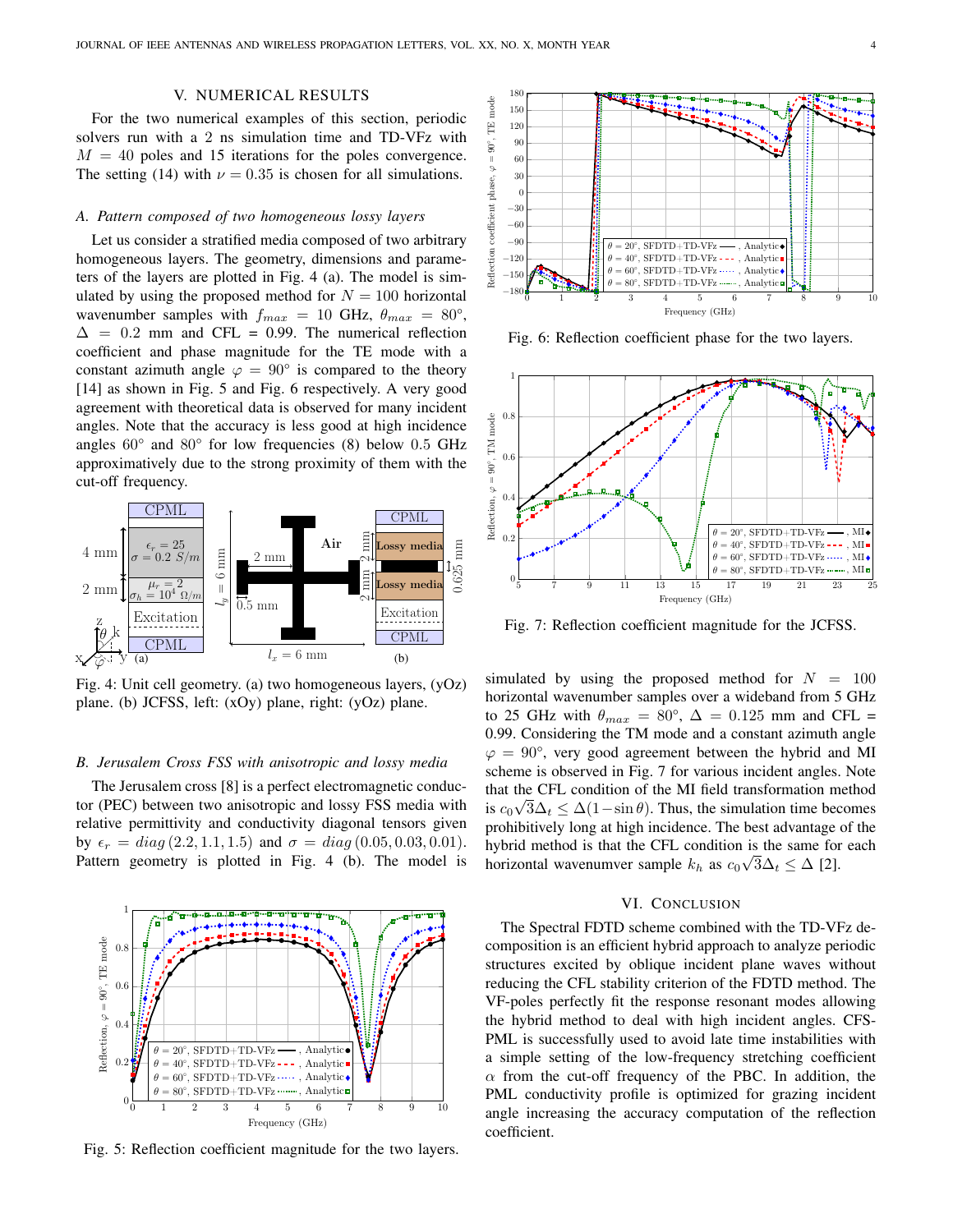# V. NUMERICAL RESULTS

For the two numerical examples of this section, periodic solvers run with a 2 ns simulation time and TD-VFz with  $M = 40$  poles and 15 iterations for the poles convergence. The setting (14) with  $\nu = 0.35$  is chosen for all simulations.

#### *A. Pattern composed of two homogeneous lossy layers*

Let us consider a stratified media composed of two arbitrary homogeneous layers. The geometry, dimensions and parameters of the layers are plotted in Fig. 4 (a). The model is simulated by using the proposed method for  $N = 100$  horizontal wavenumber samples with  $f_{max} = 10$  GHz,  $\theta_{max} = 80^{\circ}$ ,  $\Delta$  = 0.2 mm and CFL = 0.99. The numerical reflection coefficient and phase magnitude for the TE mode with a constant azimuth angle  $\varphi = 90^{\circ}$  is compared to the theory [14] as shown in Fig. 5 and Fig. 6 respectively. A very good agreement with theoretical data is observed for many incident angles. Note that the accuracy is less good at high incidence angles 60° and 80° for low frequencies (8) below 0.5 GHz approximatively due to the strong proximity of them with the cut-off frequency.



Fig. 4: Unit cell geometry. (a) two homogeneous layers, (yOz) plane. (b) JCFSS, left: (xOy) plane, right: (yOz) plane.

## *B. Jerusalem Cross FSS with anisotropic and lossy media*

The Jerusalem cross [8] is a perfect electromagnetic conductor (PEC) between two anisotropic and lossy FSS media with relative permittivity and conductivity diagonal tensors given by  $\epsilon_r = diag(2.2, 1.1, 1.5)$  and  $\sigma = diag(0.05, 0.03, 0.01)$ . Pattern geometry is plotted in Fig. 4 (b). The model is



Fig. 5: Reflection coefficient magnitude for the two layers.



Fig. 6: Reflection coefficient phase for the two layers.



Fig. 7: Reflection coefficient magnitude for the JCFSS.

simulated by using the proposed method for  $N = 100$ horizontal wavenumber samples over a wideband from 5 GHz to 25 GHz with  $\theta_{max} = 80^{\circ}$ ,  $\Delta = 0.125$  mm and CFL = 0.99. Considering the TM mode and a constant azimuth angle  $\varphi = 90^{\circ}$ , very good agreement between the hybrid and MI scheme is observed in Fig. 7 for various incident angles. Note that the CFL condition of the MI field transformation method is  $c_0 \sqrt{3} \Delta_t \leq \Delta (1 - \sin \theta)$ . Thus, the simulation time becomes prohibitively long at high incidence. The best advantage of the hybrid method is that the CFL condition is the same for each horizontal wavenumver sample  $k_h$  as  $c_0\sqrt{3\Delta_t} \leq \Delta$  [2].

## VI. CONCLUSION

The Spectral FDTD scheme combined with the TD-VFz decomposition is an efficient hybrid approach to analyze periodic structures excited by oblique incident plane waves without reducing the CFL stability criterion of the FDTD method. The VF-poles perfectly fit the response resonant modes allowing the hybrid method to deal with high incident angles. CFS-PML is successfully used to avoid late time instabilities with a simple setting of the low-frequency stretching coefficient  $\alpha$  from the cut-off frequency of the PBC. In addition, the PML conductivity profile is optimized for grazing incident angle increasing the accuracy computation of the reflection coefficient.